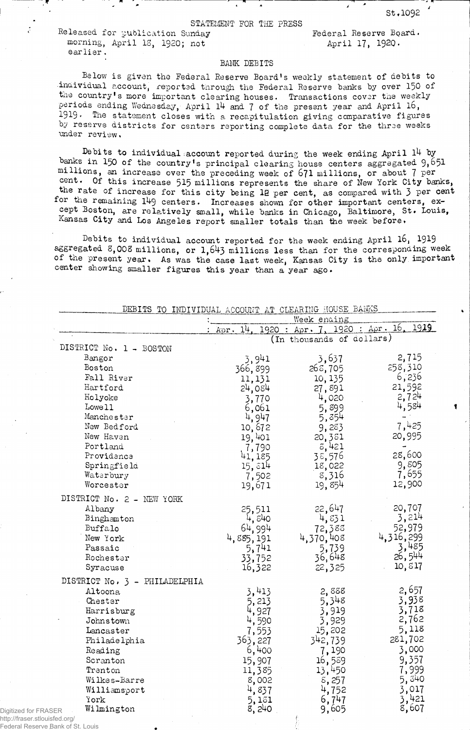Released for publication Sunday Federal Reserve Board. morning, April 13, 1920; not April 17, 1920. earlier.

## BANK DEBITS

Below is given the Federal Reserve Board1s weekly statement of debits to •individual account, reported through the Federal Reserve banks by over 150 of the country's more important clearing houses. Transactions cover the weekly periods ending Wednesday, April 14 and 7 of the present year and April 16, 1919. The statement closes with a recapitulation giving comparative figures by reserve districts for centers reporting complete data for the three weeks under review.

Debits to individual account reported during the week ending April 14 by banks in 150 of the country's principal clearing house centers aggregated  $9,651$ millions, an increase over the preceding week of 671 millions, or about 7 Per cent. Of this increase 515 millions represents the share of New York City banks, the rate of increase for this city being 12 per cent, as compared with 3 per cent for the remaining 149 centers. Increases shown for other important centers, except Boston, are relatively small, while banks in Chicago, Baltimore, St. Louis, Kansas City and Los Angeles report smaller totals than the week before»

Debits to individual account reported for the week ending April l6, 1919 aggregated  $8,008$  millions, or 1,643 millions less than for the corresponding week of the present year. As was the case last week, Kansas City is the only important center showing smaller figures this year than a year ago.

|                      | DEBITS TO INDIVIDUAL ACCOUNT AT CLEARING HOUSE BANKS |                        |                              |           |
|----------------------|------------------------------------------------------|------------------------|------------------------------|-----------|
|                      |                                                      |                        | Week ending                  |           |
|                      |                                                      | 14.<br>: $A \circ r$ . | 1920: Apr. 7, 1920: Apr. 16. | 1919      |
|                      |                                                      |                        | (In thousands of dollars)    |           |
|                      | DISTRICT No. 1 - BOSTON                              |                        |                              |           |
|                      | Bangor                                               | 3,941                  | 3,637                        | 2,715     |
|                      | Boston                                               | 366,899                | 265,705                      | 258,310   |
|                      | Fall River                                           | 11,131                 | 10, 135                      | 6,236     |
|                      | Hartford                                             | 24,084                 | 27,891                       | 21,592    |
|                      | Holyoke                                              | 3,770                  | 4,020                        | 2,724     |
|                      | Lowe 11                                              | 6,061                  | 5,899                        | 4,584     |
|                      | Manchester                                           | 4,947                  | 5,354                        |           |
|                      | New Bedford                                          | 10,672                 | 9,283                        | 7,425     |
|                      | New Haven                                            | 19,401                 | 20,381                       | 20,995    |
|                      | Portland                                             | 7,790                  | 3,421                        |           |
|                      | Providence                                           | 41,185                 | 38,576                       | 28,600    |
|                      | Springfield                                          | 15,514                 | 18,022                       | 9,805     |
|                      | Waterbury                                            | 7,502                  | 8,316                        | 7,655     |
|                      | Worcester                                            | 19,671                 | 19,854                       | 12,900    |
|                      |                                                      |                        |                              |           |
|                      | DISTRICT No. 2 - NEW YORK                            |                        |                              |           |
|                      | Albany                                               | 25,511                 | 22,647                       | 20,707    |
|                      | Binghamton                                           | 4,840                  | 4,831                        | 3,214     |
|                      | Buffalo                                              | 64,994                 | 72,388                       | 52,979    |
|                      | New York                                             | 4,885,191              | 4,370,408                    | 4,316,299 |
|                      | Passaic                                              | 5,741                  | 5,739                        | 3,485     |
|                      | Rochester                                            | 33,752                 | 36,648                       | 26,544    |
|                      | Syracuse                                             | 16,322                 | 22,325                       | 10,817    |
|                      | DISTRICT No. 3 - PHILADELPHIA                        |                        |                              |           |
|                      | Altoona                                              | 3,413                  | 2,888                        | 2,657     |
|                      | Chester                                              | 5,213                  | 5,348                        | 3,938     |
|                      | Harrisburg                                           | 4,927                  | 3,919                        | 3,718     |
|                      | Johnstown                                            | 4,590                  | 3,929                        | 2,762     |
|                      | Lancaster                                            | 7,553                  | 15,202                       | 5,118     |
|                      | Philadelphia                                         | 363,227                | 342,739                      | 281,702   |
|                      | Reading                                              | 6,400                  | 7,190                        | 3,000     |
|                      | Scranton                                             | 15,907                 | 16,589                       | 9,357     |
|                      | Trenton                                              | 11,385                 | 13,450                       | 7,999     |
|                      | Wilkes-Barre                                         | 8,002                  | 5,257                        | 5,340     |
|                      | Williamsport                                         | 4,837                  | 4,752                        | 3,017     |
|                      | York                                                 | 5,131                  | 6,747                        | 3,421     |
| Digitized for FRASER | Wilmington                                           | 8,240                  | 9,605                        | 8,607     |
|                      |                                                      |                        |                              |           |

http://fraser.stlouisfed.org/ Federal Reserve Bank of St. Louis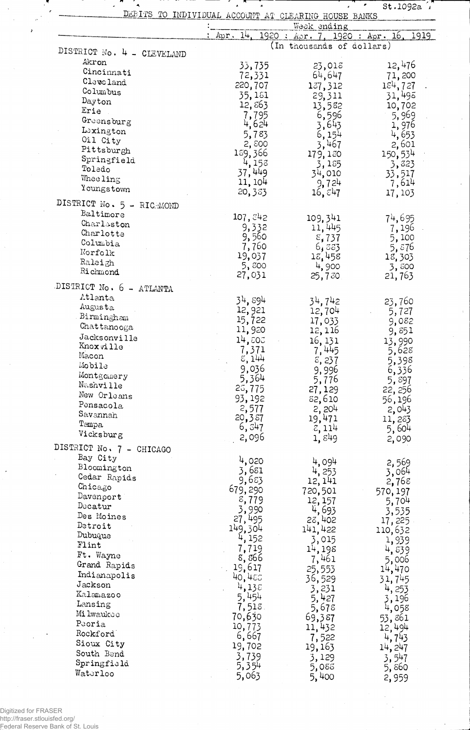|                             | DEBITS TO INDIVIDUAL ACCOUNT AT CLEARING HOUSE BANKS | Week ending               |                                     |
|-----------------------------|------------------------------------------------------|---------------------------|-------------------------------------|
|                             | Apr. 14.                                             |                           | 1920 : Apr. 7, 1920 : Apr. 16, 1919 |
| DISTRICT No. 4 - CLEVELAND  |                                                      | (In thousands of dollars) |                                     |
| Akron                       | 33,735                                               | 23,018                    | 12,476                              |
| Cincinnati                  | 72,331                                               | 64,647                    | 71,200                              |
| Cleveland                   | 220,707                                              | 137,312                   | 184, 727                            |
| Columbus                    | 35,181                                               | 29,311                    | 31,495                              |
| Dayton                      | 12,863                                               | 13,582                    | 10,702                              |
| Erie                        | 7,795                                                | 6,596                     | 5,969                               |
| Greensburg<br>Lexington     | 4,624                                                | 3,643                     | 1,976                               |
| Oil City                    | 5,783                                                | 6,154                     | 4,653                               |
| Pittsburgh                  | 2,800<br>159,366                                     | 3,467                     | 2,601                               |
| Springfield                 | 4,153                                                | 179,180<br>3,185          | 150, 534<br>3,823                   |
| Toledo                      | 37,449                                               | 34,010                    | 33,517                              |
| Wheeling                    | 11, 104                                              | 9,724                     | 7,614                               |
| Youngstown                  | 20,383                                               | $16, \varepsilon$ 47      | 17,103                              |
| DISTRICT No. 5 - RICHMOND   |                                                      |                           |                                     |
| Baltimore                   | 107,842                                              | 109,341                   | 74,695                              |
| Charleston                  | 9,332                                                | 11,445                    | 7,196                               |
| Charlotta                   | 9,560                                                | 5,737                     | 5,100                               |
| Columbia                    | 7,760                                                | 6,883                     | 5,876                               |
| Norfolk<br>Raleigh          | 19,037                                               | 15,458                    | 18,303                              |
| Richmond                    | 5,800                                                | 4,900                     | 3,800                               |
|                             | 27,031                                               | 25,730                    | 21,763                              |
| DISTRICT No. 6 - ATLANTA    |                                                      |                           |                                     |
| Atlanta                     | 34, 894                                              | 34,742                    | 23,760                              |
| Augusta<br>Birmingham       | 12,921                                               | 12,704                    | 5,727                               |
| Chattanooga                 | 15,722                                               | 17,033                    | 9,082                               |
| Jacksonville                | 11,920                                               | 12,116                    | 9,851                               |
| Knoxville                   | 14,505                                               | 16, 131                   | 13,990                              |
| Macon                       | 7,371<br>8,144                                       | 7,445                     | 5,628                               |
| Mobile                      | 9,036                                                | 8,237<br>9,996            | 5,398<br>6,336                      |
| Montgomery                  | 5,364                                                | 5,776                     | 5,897                               |
| Nashville                   | 25,775                                               | 27,129                    | 22, 256                             |
| New Orleans                 | 93, 192                                              | 82,610                    | 56,196                              |
| Pensacola                   | 2,577                                                | 2,204                     | 2,043                               |
| Savannah                    | 20,387                                               | 19,471                    | 11,283                              |
| Tampa<br>Vicksburg          | 6, 347                                               | $\epsilon$ , 114          | 5,604                               |
|                             | 2,096                                                | 1,849                     | 2,090                               |
| DISTRICT No. 7 - CHICAGO    |                                                      |                           |                                     |
| Bay City                    | 4,020                                                | 4,094                     | 2,569                               |
| Bloomington<br>Cedar Rapids | 3,681                                                | 4, 253                    | 3,064                               |
| Chicago                     | 9,683                                                | 12, 141                   | 2,768                               |
| Davenport                   | 679,290                                              | 720,501                   | 570, 197                            |
| Decatur                     | 8,779<br>3,990                                       | 12, 157                   | 5,704                               |
| Des Moines                  | 27,495                                               | 4,693<br>28,402           | 3,535                               |
| Detroit                     | 149,304                                              | 141,422                   | 17,225<br>110,632                   |
| Dubuque                     | 4, 152                                               | 3,015                     | 1,939                               |
| $\texttt{Flint}$            | 7,719                                                | 14,198                    | 4,539                               |
| Ft. Wayne                   | 8, g66                                               | 7,461                     | 5,006                               |
| Grand Rapids                | 19,617                                               | 25,553                    | 14,470                              |
| Indianapolis                | 40,485                                               | 36,529                    | 31,745                              |
| Jackson                     | 4,135                                                | 3,231                     | 4, 253                              |
| Kalamazoo<br>Lansing        | 5,454                                                | 5,427                     | 3,196                               |
| Mi lwaukoo                  | 7,518.                                               | 5,678                     | 4,058                               |
| Peoria                      | 70,630                                               | 69,387                    | 53,861                              |
| Rockford                    | 10,773<br>6,667                                      | 11,432                    | 12,494                              |
| Sioux City                  | 19,702                                               | 7,522<br>19,163           | 4,743                               |
| South Bend                  | 3,739                                                | 3,129                     | 14, 247<br>3,547                    |
| Springfield                 | 5,354                                                | 5,088                     | 5,860                               |
| Waterloo                    | 5,063                                                | 5,400                     | 2,959                               |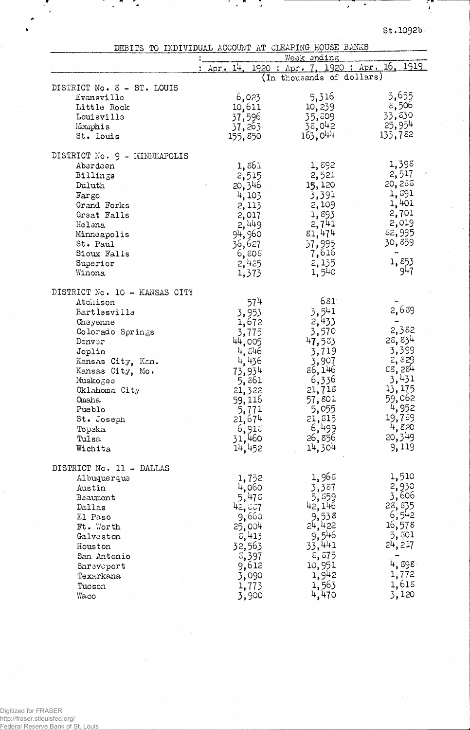J

|  |  |  | DEBITS TO INDIVIDUAL ACCOUNT AT CLEARING HOUSE BANKS |  |
|--|--|--|------------------------------------------------------|--|
|  |  |  |                                                      |  |

Į,

 $\overline{\phantom{a}}$  $\hat{\mathbf{z}}$ 

 $\mathcal{L}_{\mathbf{A}}$ 

 $\overline{a}$ 

|                               |                    | Week anding                         |         |
|-------------------------------|--------------------|-------------------------------------|---------|
|                               | : $Apr. 14.$       | 1920 : Apr. 7, 1920 : Apr. 16, 1919 |         |
|                               |                    | (In thousands of dollars)           |         |
| DISTRICT No. S - ST. LOUIS    |                    |                                     |         |
| Evansville                    | 6,023              | 5,316                               | 5,655   |
| Little Rock                   | 10,611             | 10,239                              | 8,506   |
| Louisville                    | 37,596             | 35,809                              | 33,830  |
| Memphis                       | 37, 263            | 38,042                              | 25,954  |
| St. Louis                     | 155,850            | 163,044                             | 135,782 |
| DISTRICT No. 9 - MINNEAPOLIS  |                    |                                     |         |
| Aberdeen                      | 1,861              | 1,892                               | 1,398   |
| Billings                      | 2,515              | 2,521                               | 2,517   |
| Duluth                        | 20, 346            | 15, 120                             | 20,285  |
| Fargo                         | 4,103              | 3,391                               | 1,391   |
| Grand Forks                   | 2, 113             | 2,109                               | 1,401   |
| Great Falls                   |                    | 1,893                               | 2,701   |
| Helena                        | $2,017$<br>$2,449$ | 2,741                               | 2,019   |
| Minneapolis                   | 94,960             | 81,474                              | 82,995  |
| St. Paul                      | 36,627             | 37,995                              | 30,859  |
| Sioux Falls                   | 6,805              | 7,616                               |         |
| Superior                      | 2,425              | 2, 135                              | 1,853   |
| Winona                        | 1,373              | 1,540                               | 947     |
| DISTRICT No. 10 - KANSAS CITY |                    |                                     |         |
| Atchison                      | 574                | 681                                 |         |
| Bartlesville                  | 3,953              | 3,541                               | 2,639   |
| Cheyenne                      | 1,672              |                                     |         |
| Colorado Springs              | 3,775              | $2,433$<br>3,570                    | 2,382   |
| Denver                        | 44, CO5            | 47,583                              | 28,834  |
| Joplin                        | 4,546              | 3,719                               | 3,399   |
| Kansas City, Ken.             | 4,436              | 3,907                               | 2,829   |
| Kansas City, Mo.              | 73,934             | 86,146                              | E8,284  |
| Muskogee                      | 5,861              | 6,336                               | 3,431   |
| Oklahoma City                 | 21,322             | 21,718                              | 13, 175 |
| <b>Omaha</b>                  | 59,116             | 57,801                              | 59,062  |
| Pueblo                        | 5,771              | 5,055                               | 4,952   |
| St. Joseph                    | 21,674             | 21,815                              | 19,789  |
| Topeka                        | 6,915              | 6,499                               | 4,820   |
| Tulsa                         | 31,460             | 26,856                              | 20,349  |
| Wichita                       | 14,452             | 14,304                              | 9,119   |
| DISTRICT No. 11 - DALLAS      |                    |                                     |         |
| Albuquerque                   | 1,752              | 1,965                               | 1,510   |
| Austin                        | 4,060              | 3,387                               | 2,930   |
| Beaumont                      | 5,475              | 5,559                               | 3,606   |
| Dallas                        | 42,827             | 42, 146                             | 28, 335 |
| El Paso                       | 9,660              | 9,538                               | 6,542   |
| Ft. Worth                     | 25,004             | 24,422                              | 16,578  |
| Galveston                     | 5,413              | 9,546                               | 5,301   |
| Houston                       | 32,563             | 33,441                              | 24,217  |
| San Antonio                   | 3,397              | 8,575                               |         |
| Shreveport                    | 9,612              | 10,951                              | 4,898   |
| Texarkana                     | 3,090              | 1,942                               | 1,772   |
| Tucson                        | 1,773              | 1,563                               | 1,618   |
| Waco                          | 3,900              | 4,470                               | 3,120   |